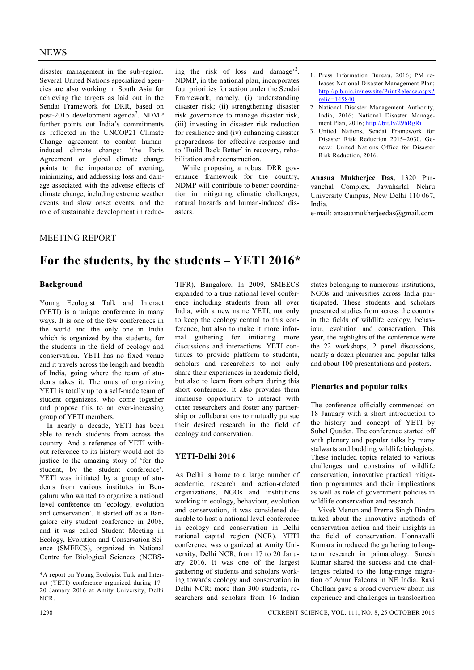disaster management in the sub-region. Several United Nations specialized agencies are also working in South Asia for achieving the targets as laid out in the Sendai Framework for DRR, based on post-2015 development agenda<sup>3</sup>. NDMP further points out India's commitments as reflected in the UNCOP21 Climate Change agreement to combat humaninduced climate change: 'the Paris Agreement on global climate change points to the importance of averting, minimizing, and addressing loss and damage associated with the adverse effects of climate change, including extreme weather events and slow onset events, and the role of sustainable development in reduc-

ing the risk of loss and damage<sup>2</sup>. NDMP, in the national plan, incorporates four priorities for action under the Sendai Framework, namely, (i) understanding disaster risk; (ii) strengthening disaster risk governance to manage disaster risk, (iii) investing in disaster risk reduction for resilience and (iv) enhancing disaster preparedness for effective response and to 'Build Back Better' in recovery, rehabilitation and reconstruction.

While proposing a robust DRR governance framework for the country, NDMP will contribute to better coordination in mitigating climatic challenges, natural hazards and human-induced disasters.

- 1. Press Information Bureau, 2016; PM releases National Disaster Management Plan; http://pib.nic.in/newsite/PrintRelease.aspx? relid=145840
- 2. National Disaster Management Authority, India, 2016; National Disaster Management Plan, 2016; http://bit.ly/29hRgRi
- 3. United Nations, Sendai Framework for Disaster Risk Reduction 2015–2030, Geneva: United Nations Office for Disaster Risk Reduction, 2016.

**Anasua Mukherjee Das,** 1320 Purvanchal Complex, Jawaharlal Nehru University Campus, New Delhi 110 067, India.

e-mail: anasuamukherjeedas@gmail.com

# MEETING REPORT

# **For the students, by the students – YETI 2016\***

#### **Background**

Young Ecologist Talk and Interact (YETI) is a unique conference in many ways. It is one of the few conferences in the world and the only one in India which is organized by the students, for the students in the field of ecology and conservation. YETI has no fixed venue and it travels across the length and breadth of India, going where the team of students takes it. The onus of organizing YETI is totally up to a self-made team of student organizers, who come together and propose this to an ever-increasing group of YETI members.

In nearly a decade, YETI has been able to reach students from across the country. And a reference of YETI without reference to its history would not do justice to the amazing story of 'for the student, by the student conference'. YETI was initiated by a group of students from various institutes in Bengaluru who wanted to organize a national level conference on 'ecology, evolution and conservation'. It started off as a Bangalore city student conference in 2008, and it was called Student Meeting in Ecology, Evolution and Conservation Science (SMEECS), organized in National Centre for Biological Sciences (NCBS- TIFR), Bangalore. In 2009, SMEECS expanded to a true national level conference including students from all over India, with a new name YETI, not only to keep the ecology central to this conference, but also to make it more informal gathering for initiating more discussions and interactions. YETI continues to provide platform to students, scholars and researchers to not only share their experiences in academic field, but also to learn from others during this short conference. It also provides them immense opportunity to interact with other researchers and foster any partnership or collaborations to mutually pursue their desired research in the field of ecology and conservation.

#### **YETI-Delhi 2016**

As Delhi is home to a large number of academic, research and action-related organizations, NGOs and institutions working in ecology, behaviour, evolution and conservation, it was considered desirable to host a national level conference in ecology and conservation in Delhi national capital region (NCR). YETI conference was organized at Amity University, Delhi NCR, from 17 to 20 January 2016. It was one of the largest gathering of students and scholars working towards ecology and conservation in Delhi NCR; more than 300 students, researchers and scholars from 16 Indian

states belonging to numerous institutions, NGOs and universities across India participated. These students and scholars presented studies from across the country in the fields of wildlife ecology, behaviour, evolution and conservation. This year, the highlights of the conference were the 22 workshops, 2 panel discussions, nearly a dozen plenaries and popular talks and about 100 presentations and posters.

#### **Plenaries and popular talks**

The conference officially commenced on 18 January with a short introduction to the history and concept of YETI by Suhel Quader. The conference started off with plenary and popular talks by many stalwarts and budding wildlife biologists. These included topics related to various challenges and constrains of wildlife conservation, innovative practical mitigation programmes and their implications as well as role of government policies in wildlife conservation and research.

Vivek Menon and Prerna Singh Bindra talked about the innovative methods of conservation action and their insights in the field of conservation. Honnavalli Kumara introduced the gathering to longterm research in primatology. Suresh Kumar shared the success and the challenges related to the long-range migration of Amur Falcons in NE India. Ravi Chellam gave a broad overview about his experience and challenges in translocation

<sup>\*</sup>A report on Young Ecologist Talk and Interact (YETI) conference organized during 17– 20 January 2016 at Amity University, Delhi NCR.